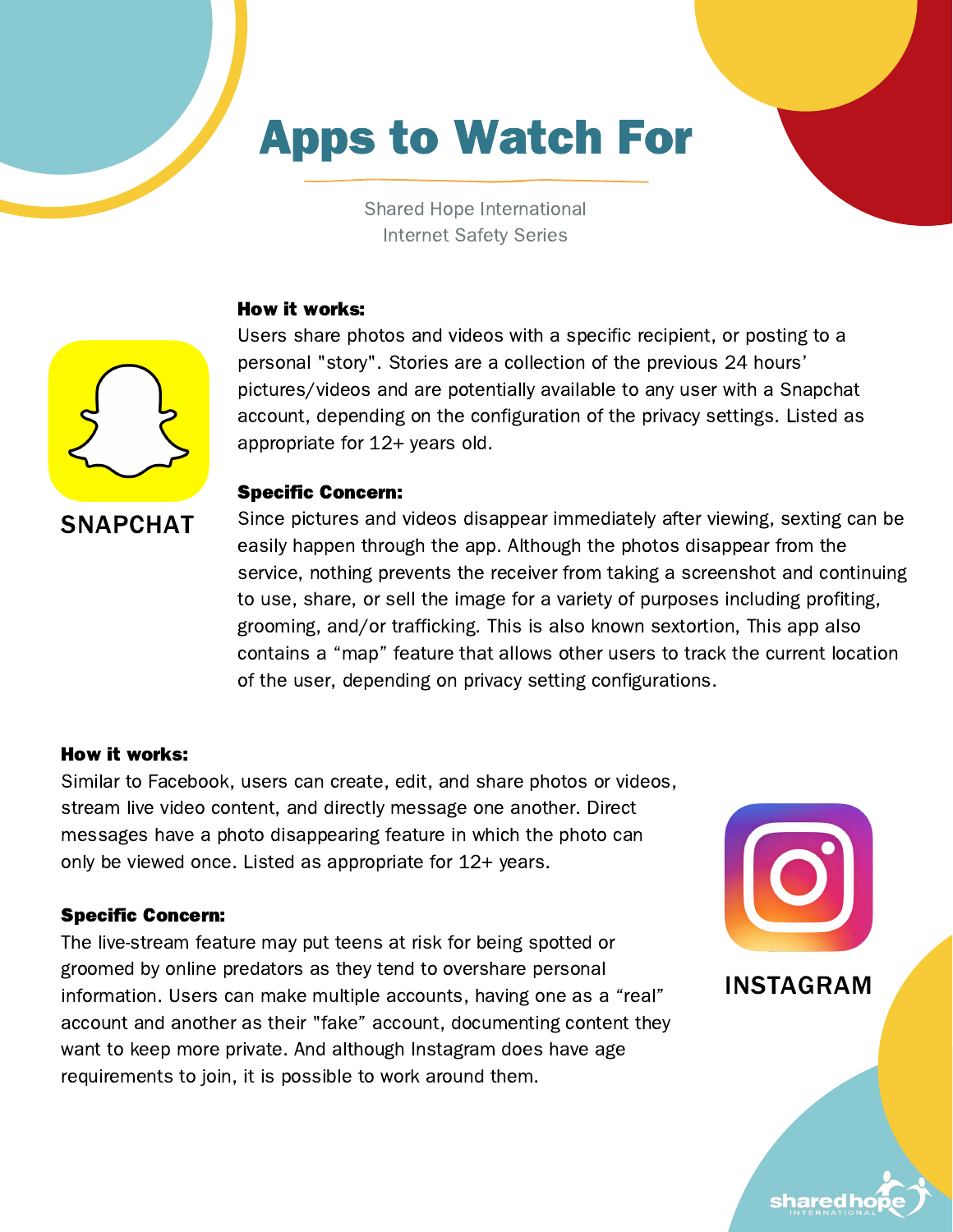# Apps to Watch For

Shared Hope International Internet Safety Series

#### How it works:



Users share photos and videos with a specific recipient, or posting to a personal "story". Stories are a collection of the previous 24 hours' pictures/videos and are potentially available to any user with a Snapchat account, depending on the configuration of the privacy settings. Listed as appropriate for 12+ years old.

#### Specific Concern:

Since pictures and videos disappear immediately after viewing, sexting can be easily happen through the app. Although the photos disappear from the service, nothing prevents the receiver from taking a screenshot and continuing to use, share, or sell the image for a variety of purposes including profiting, grooming, and/or trafficking. This is also known sextortion, This app also contains a "map" feature that allows other users to track the current location of the user, depending on privacy setting configurations.

#### How it works:

Similar to Facebook, users can create, edit, and share photos or videos, stream live video content, and directly message one another. Direct messages have a photo disappearing feature in which the photo can only be viewed once. Listed as appropriate for 12+ years.

#### Specific Concern:

The live-stream feature may put teens at risk for being spotted or groomed by online predators as they tend to overshare personal information. Users can make multiple accounts, having one as a "real" account and another as their "fake" account, documenting content they want to keep more private. And although Instagram does have age requirements to join, it is possible to work around them.



INSTAGRAM

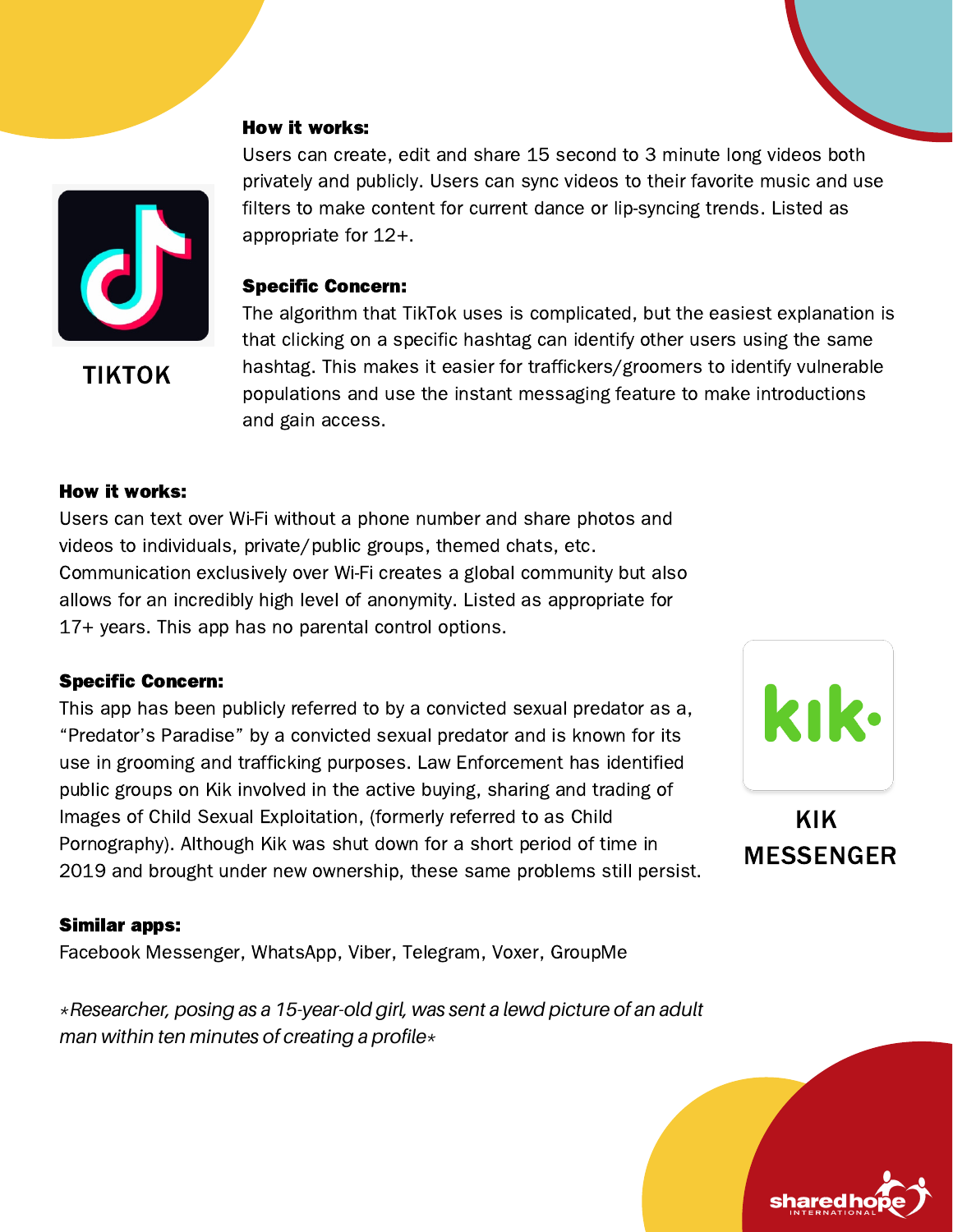TIKTOK

# Users can create, edit and share 15 second to 3 minute long videos both privately and publicly. Users can sync videos to their favorite music and use filters to make content for current dance or lip-syncing trends. Listed as appropriate for 12+.

#### Specific Concern:

The algorithm that TikTok uses is complicated, but the easiest explanation is that clicking on a specific hashtag can identify other users using the same hashtag. This makes it easier for traffickers/groomers to identify vulnerable populations and use the instant messaging feature to make introductions and gain access.

#### How it works:

Users can text over Wi-Fi without a phone number and share photos and videos to individuals, private/public groups, themed chats, etc. Communication exclusively over Wi-Fi creates a global community but also allows for an incredibly high level of anonymity. Listed as appropriate for 17+ years. This app has no parental control options.

#### Specific Concern:

This app has been publicly referred to by a convicted sexual predator as a, "Predator's Paradise" by a convicted sexual predator and is known for its use in grooming and trafficking purposes. Law Enforcement has identified public groups on Kik involved in the active buying, sharing and trading of Images of Child Sexual Exploitation, (formerly referred to as Child Pornography). Although Kik was shut down for a short period of time in 2019 and brought under new ownership, these same problems still persist.

#### Similar apps:

Facebook Messenger, WhatsApp, Viber, Telegram, Voxer, GroupMe

*\*Researcher, posing as a 15-year-old girl, was sent a lewd picture of an adult man within ten minutes of creating a profile\**



KIK MESSENGER

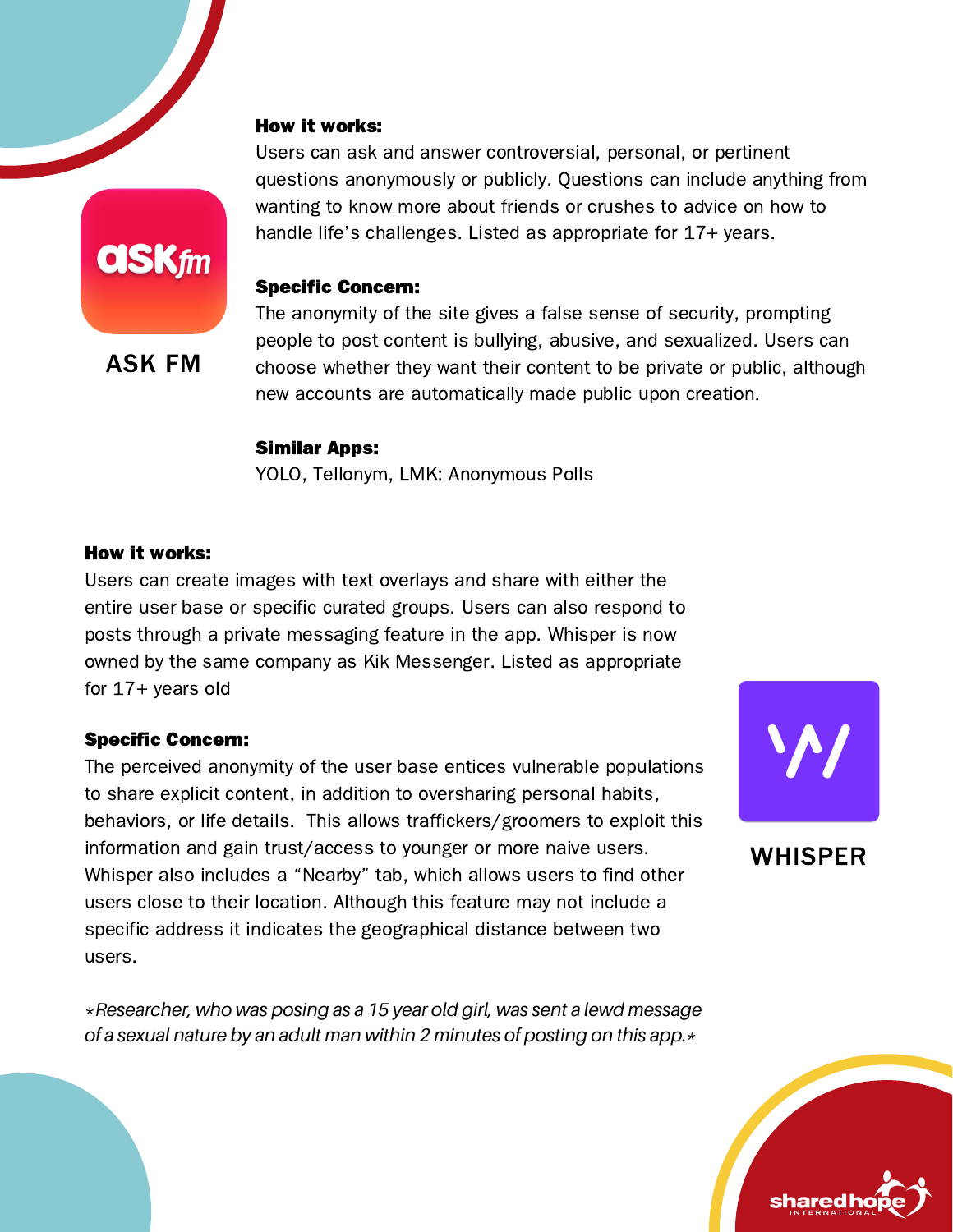Users can ask and answer controversial, personal, or pertinent questions anonymously or publicly. Questions can include anything from wanting to know more about friends or crushes to advice on how to handle life's challenges. Listed as appropriate for 17+ years.

#### Specific Concern:

The anonymity of the site gives a false sense of security, prompting people to post content is bullying, abusive, and sexualized. Users can choose whether they want their content to be private or public, although new accounts are automatically made public upon creation.

#### Similar Apps:

YOLO, Tellonym, LMK: Anonymous Polls

### How it works:

Users can create images with text overlays and share with either the entire user base or specific curated groups. Users can also respond to posts through a private messaging feature in the app. Whisper is now owned by the same company as Kik Messenger. Listed as appropriate for 17+ years old

#### Specific Concern:

The perceived anonymity of the user base entices vulnerable populations to share explicit content, in addition to oversharing personal habits, behaviors, or life details. This allows traffickers/groomers to exploit this information and gain trust/access to younger or more naive users. Whisper also includes a "Nearby" tab, which allows users to find other users close to their location. Although this feature may not include a specific address it indicates the geographical distance between two users.

\**Researcher, who was posing as a 15 year old girl, was sent a lewd message of a sexual nature by an adult man within 2 minutes of posting on this app.\**



WHISPER





ASK FM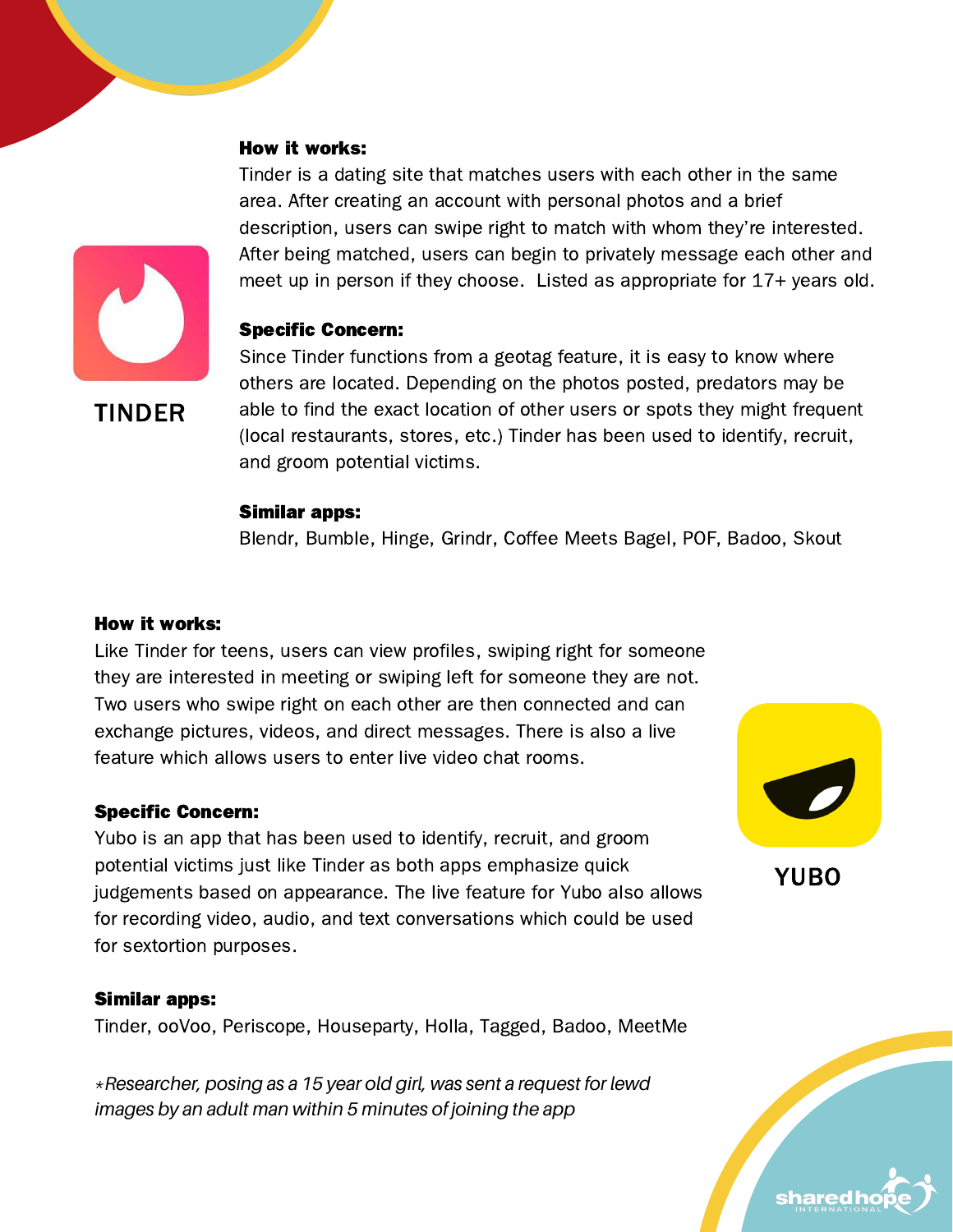Tinder is a dating site that matches users with each other in the same area. After creating an account with personal photos and a brief description, users can swipe right to match with whom they're interested. After being matched, users can begin to privately message each other and meet up in person if they choose. Listed as appropriate for 17+ years old.

#### Specific Concern:

TINDER

Since Tinder functions from a geotag feature, it is easy to know where others are located. Depending on the photos posted, predators may be able to find the exact location of other users or spots they might frequent (local restaurants, stores, etc.) Tinder has been used to identify, recruit, and groom potential victims.

#### Similar apps:

Blendr, Bumble, Hinge, Grindr, Coffee Meets Bagel, POF, Badoo, Skout

#### How it works:

Like Tinder for teens, users can view profiles, swiping right for someone they are interested in meeting or swiping left for someone they are not. Two users who swipe right on each other are then connected and can exchange pictures, videos, and direct messages. There is also a live feature which allows users to enter live video chat rooms.

#### Specific Concern:

Yubo is an app that has been used to identify, recruit, and groom potential victims just like Tinder as both apps emphasize quick judgements based on appearance. The live feature for Yubo also allows for recording video, audio, and text conversations which could be used for sextortion purposes.

#### Similar apps:

Tinder, ooVoo, Periscope, Houseparty, Holla, Tagged, Badoo, MeetMe

*\*Researcher, posing as a 15 year old girl, was sent a request for lewd images by an adult man within 5 minutes of joining the app*



YUBO